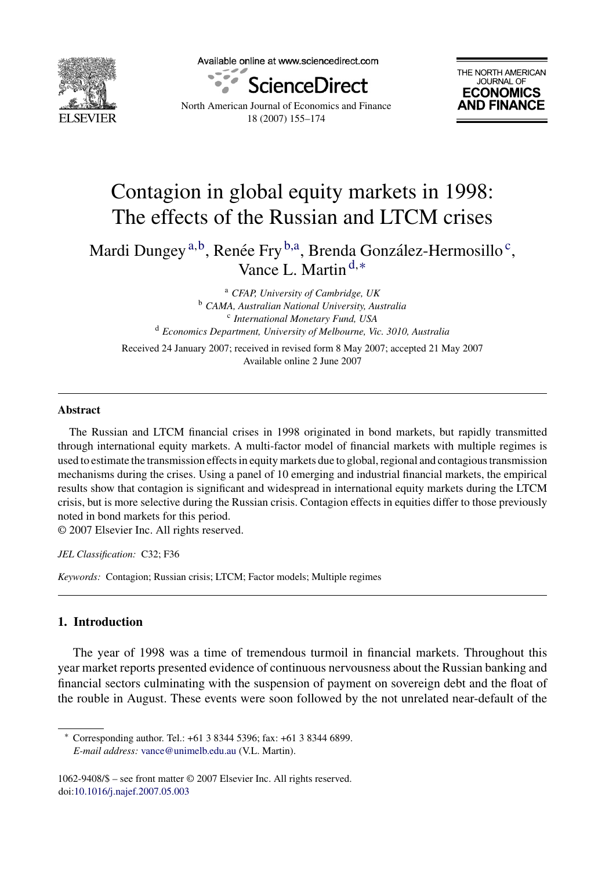

Available online at www.sciencedirect.com





North American Journal of Economics and Finance 18 (2007) 155–174

## Contagion in global equity markets in 1998: The effects of the Russian and LTCM crises

Mardi Dungey<sup>a,b</sup>, Renée Fry<sup>b,a</sup>, Brenda González-Hermosillo<sup>c</sup>, Vance L. Martin <sup>d</sup>,<sup>∗</sup>

> <sup>a</sup> *CFAP, University of Cambridge, UK* <sup>b</sup> *CAMA, Australian National University, Australia* <sup>c</sup> *International Monetary Fund, USA* <sup>d</sup> *Economics Department, University of Melbourne, Vic. 3010, Australia*

Received 24 January 2007; received in revised form 8 May 2007; accepted 21 May 2007 Available online 2 June 2007

#### **Abstract**

The Russian and LTCM financial crises in 1998 originated in bond markets, but rapidly transmitted through international equity markets. A multi-factor model of financial markets with multiple regimes is used to estimate the transmission effects in equity markets due to global, regional and contagious transmission mechanisms during the crises. Using a panel of 10 emerging and industrial financial markets, the empirical results show that contagion is significant and widespread in international equity markets during the LTCM crisis, but is more selective during the Russian crisis. Contagion effects in equities differ to those previously noted in bond markets for this period.

© 2007 Elsevier Inc. All rights reserved.

*JEL Classification:* C32; F36

*Keywords:* Contagion; Russian crisis; LTCM; Factor models; Multiple regimes

### **1. Introduction**

The year of 1998 was a time of tremendous turmoil in financial markets. Throughout this year market reports presented evidence of continuous nervousness about the Russian banking and financial sectors culminating with the suspension of payment on sovereign debt and the float of the rouble in August. These events were soon followed by the not unrelated near-default of the

<sup>∗</sup> Corresponding author. Tel.: +61 3 8344 5396; fax: +61 3 8344 6899. *E-mail address:* [vance@unimelb.edu.au](mailto:vance@unimelb.edu.au) (V.L. Martin).

<sup>1062-9408/\$ –</sup> see front matter © 2007 Elsevier Inc. All rights reserved. doi[:10.1016/j.najef.2007.05.003](dx.doi.org/10.1016/j.najef.2007.05.003)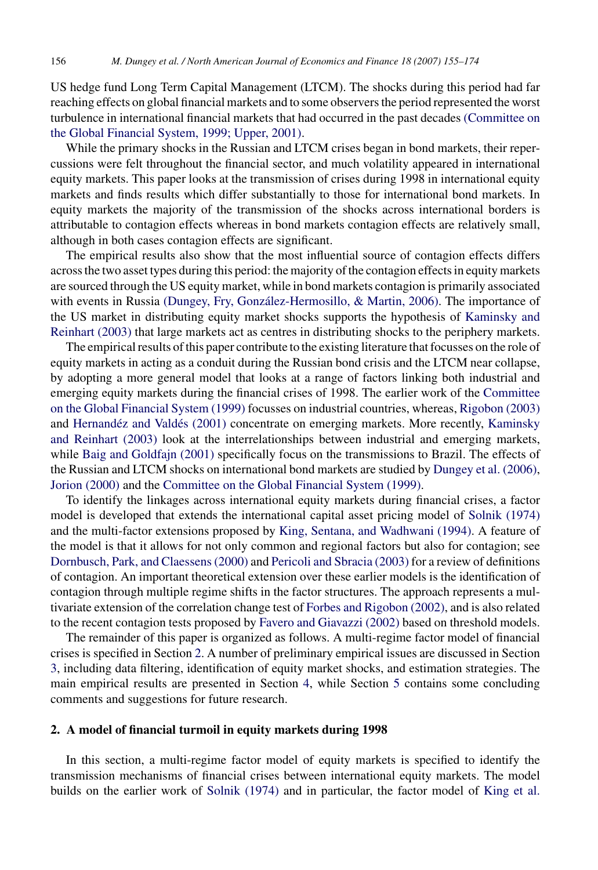US hedge fund Long Term Capital Management (LTCM). The shocks during this period had far reaching effects on global financial markets and to some observers the period represented the worst turbulence in international financial markets that had occurred in the past decades [\(Committee on](#page--1-0) [the Global Financial System, 1999; Upper, 2001\).](#page--1-0)

While the primary shocks in the Russian and LTCM crises began in bond markets, their repercussions were felt throughout the financial sector, and much volatility appeared in international equity markets. This paper looks at the transmission of crises during 1998 in international equity markets and finds results which differ substantially to those for international bond markets. In equity markets the majority of the transmission of the shocks across international borders is attributable to contagion effects whereas in bond markets contagion effects are relatively small, although in both cases contagion effects are significant.

The empirical results also show that the most influential source of contagion effects differs across the two asset types during this period: the majority of the contagion effects in equity markets are sourced through the US equity market, while in bond markets contagion is primarily associated with events in Russia (Dungey, Fry, González-Hermosillo, & Martin, 2006). The importance of the US market in distributing equity market shocks supports the hypothesis of [Kaminsky and](#page--1-0) [Reinhart \(2003\)](#page--1-0) that large markets act as centres in distributing shocks to the periphery markets.

The empirical results of this paper contribute to the existing literature that focusses on the role of equity markets in acting as a conduit during the Russian bond crisis and the LTCM near collapse, by adopting a more general model that looks at a range of factors linking both industrial and emerging equity markets during the financial crises of 1998. The earlier work of the [Committee](#page--1-0) [on the Global Financial System \(1999\)](#page--1-0) focusses on industrial countries, whereas, [Rigobon \(2003\)](#page--1-0) and Hernandéz and Valdés [\(2001\)](#page--1-0) concentrate on emerging markets. More recently, [Kaminsky](#page--1-0) [and Reinhart \(2003\)](#page--1-0) look at the interrelationships between industrial and emerging markets, while [Baig and Goldfajn \(2001\)](#page--1-0) specifically focus on the transmissions to Brazil. The effects of the Russian and LTCM shocks on international bond markets are studied by [Dungey et al. \(2006\),](#page--1-0) [Jorion \(2000\)](#page--1-0) and the [Committee on the Global Financial System \(1999\).](#page--1-0)

To identify the linkages across international equity markets during financial crises, a factor model is developed that extends the international capital asset pricing model of [Solnik \(1974\)](#page--1-0) and the multi-factor extensions proposed by [King, Sentana, and Wadhwani \(1994\).](#page--1-0) A feature of the model is that it allows for not only common and regional factors but also for contagion; see [Dornbusch, Park, and Claessens \(2000\)](#page--1-0) and [Pericoli and Sbracia \(2003\)](#page--1-0) for a review of definitions of contagion. An important theoretical extension over these earlier models is the identification of contagion through multiple regime shifts in the factor structures. The approach represents a multivariate extension of the correlation change test of [Forbes and Rigobon \(2002\), a](#page--1-0)nd is also related to the recent contagion tests proposed by [Favero and Giavazzi \(2002\)](#page--1-0) based on threshold models.

The remainder of this paper is organized as follows. A multi-regime factor model of financial crises is specified in Section 2. A number of preliminary empirical issues are discussed in Section [3, i](#page--1-0)ncluding data filtering, identification of equity market shocks, and estimation strategies. The main empirical results are presented in Section [4,](#page--1-0) while Section [5](#page--1-0) contains some concluding comments and suggestions for future research.

### **2. A model of financial turmoil in equity markets during 1998**

In this section, a multi-regime factor model of equity markets is specified to identify the transmission mechanisms of financial crises between international equity markets. The model builds on the earlier work of [Solnik \(1974\)](#page--1-0) and in particular, the factor model of [King et al.](#page--1-0)